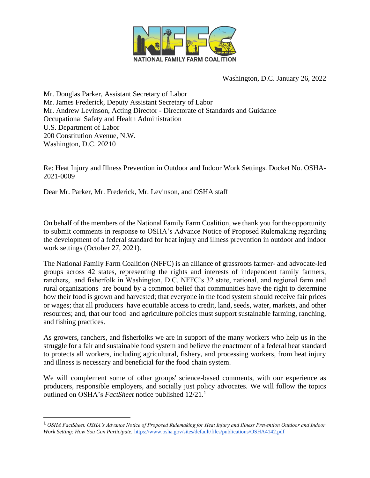

Washington, D.C. January 26, 2022

Mr. Douglas Parker, Assistant Secretary of Labor Mr. James Frederick, Deputy Assistant Secretary of Labor Mr. Andrew Levinson, Acting Director - Directorate of Standards and Guidance Occupational Safety and Health Administration U.S. Department of Labor 200 Constitution Avenue, N.W. Washington, D.C. 20210

Re: Heat Injury and Illness Prevention in Outdoor and Indoor Work Settings. Docket No. OSHA-2021-0009

Dear Mr. Parker, Mr. Frederick, Mr. Levinson, and OSHA staff

On behalf of the members of the National Family Farm Coalition, we thank you for the opportunity to submit comments in response to OSHA's Advance Notice of Proposed Rulemaking regarding the development of a federal standard for heat injury and illness prevention in outdoor and indoor work settings (October 27, 2021).

The National Family Farm Coalition (NFFC) is an alliance of grassroots farmer- and advocate-led groups across 42 states, representing the rights and interests of independent family farmers, ranchers, and fisherfolk in Washington, D.C. NFFC's 32 state, national, and regional farm and rural organizations are bound by a common belief that communities have the right to determine how their food is grown and harvested; that everyone in the food system should receive fair prices or wages; that all producers have equitable access to credit, land, seeds, water, markets, and other resources; and, that our food and agriculture policies must support sustainable farming, ranching, and fishing practices.

As growers, ranchers, and fisherfolks we are in support of the many workers who help us in the struggle for a fair and sustainable food system and believe the enactment of a federal heat standard to protects all workers, including agricultural, fishery, and processing workers, from heat injury and illness is necessary and beneficial for the food chain system.

We will complement some of other groups' science-based comments, with our experience as producers, responsible employers, and socially just policy advocates. We will follow the topics outlined on OSHA's *FactSheet* notice published 12/21.<sup>1</sup>

<sup>1</sup> *OSHA FactSheet, OSHA's Advance Notice of Proposed Rulemaking for Heat Injury and Illness Prevention Outdoor and Indoor Work Setting: How You Can Participate.* <https://www.osha.gov/sites/default/files/publications/OSHA4142.pdf>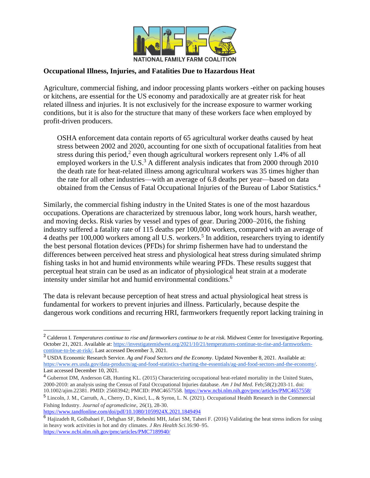

## **Occupational Illness, Injuries, and Fatalities Due to Hazardous Heat**

Agriculture, commercial fishing, and indoor processing plants workers -either on packing houses or kitchens, are essential for the US economy and paradoxically are at greater risk for heat related illness and injuries. It is not exclusively for the increase exposure to warmer working conditions, but it is also for the structure that many of these workers face when employed by profit-driven producers.

OSHA enforcement data contain reports of 65 agricultural worker deaths caused by heat stress between 2002 and 2020, accounting for one sixth of occupational fatalities from heat stress during this period,<sup>2</sup> even though agricultural workers represent only 1.4% of all employed workers in the U.S. $3$  A different analysis indicates that from 2000 through 2010 the death rate for heat-related illness among agricultural workers was 35 times higher than the rate for all other industries—with an average of 6.8 deaths per year—based on data obtained from the Census of Fatal Occupational Injuries of the Bureau of Labor Statistics.<sup>4</sup>

Similarly, the commercial fishing industry in the United States is one of the most hazardous occupations. Operations are characterized by strenuous labor, long work hours, harsh weather, and moving decks. Risk varies by vessel and types of gear. During 2000–2016, the fishing industry suffered a fatality rate of 115 deaths per 100,000 workers, compared with an average of 4 deaths per 100,000 workers among all U.S. workers.<sup>5</sup> In addition, researchers trying to identify the best personal flotation devices (PFDs) for shrimp fishermen have had to understand the differences between perceived heat stress and physiological heat stress during simulated shrimp fishing tasks in hot and humid environments while wearing PFDs. These results suggest that perceptual heat strain can be used as an indicator of physiological heat strain at a moderate intensity under similar hot and humid environmental conditions.<sup>6</sup>

The data is relevant because perception of heat stress and actual physiological heat stress is fundamental for workers to prevent injuries and illness. Particularly, because despite the dangerous work conditions and recurring HRI, farmworkers frequently report lacking training in

<sup>4</sup> Gubernot DM, Anderson GB, Hunting KL. (2015) Characterizing occupational heat-related mortality in the United States, 2000-2010: an analysis using the Census of Fatal Occupational Injuries database. *Am J Ind Med.* Feb;58(2):203-11. doi: 10.1002/ajim.22381. PMID: 25603942; PMCID: PMC4657558. <https://www.ncbi.nlm.nih.gov/pmc/articles/PMC4657558/>

<https://www.tandfonline.com/doi/pdf/10.1080/1059924X.2021.1849494>

<sup>&</sup>lt;sup>2</sup> Calderon I. *Temperatures continue to rise and farmworkers continue to be at risk*. Midwest Center for Investigative Reporting. October 21, 2021. Available at[: https://investigatemidwest.org/2021/10/21/temperatures-continue-to-rise-and-farmworkers](https://investigatemidwest.org/2021/10/21/temperatures-continue-to-rise-and-farmworkers-continue-to-be-at-risk/)[continue-to-be-at-risk/.](https://investigatemidwest.org/2021/10/21/temperatures-continue-to-rise-and-farmworkers-continue-to-be-at-risk/) Last accessed December 3, 2021.

<sup>3</sup> USDA Economic Research Service. *Ag and Food Sectors and the Economy*. Updated November 8, 2021. Available at: [https://www.ers.usda.gov/data-products/ag-and-food-statistics-charting-the-essentials/ag-and-food-sectors-and-the-economy/.](https://www.ers.usda.gov/data-products/ag-and-food-statistics-charting-the-essentials/ag-and-food-sectors-and-the-economy/) Last accessed December 10, 2021.

<sup>5</sup> Lincoln, J. M., Carruth, A., Cherry, D., Kincl, L., & Syron, L. N. (2021). Occupational Health Research in the Commercial Fishing Industry. *Journal of agromedicine*, 26(1), 28-30.

<sup>6</sup> Hajizadeh R, Golbabaei F, Dehghan SF, Beheshti MH, Jafari SM, Taheri F. (2016) Validating the heat stress indices for using in heavy work activities in hot and dry climates. *J Res Health Sci*.16:90–95. <https://www.ncbi.nlm.nih.gov/pmc/articles/PMC7189940/>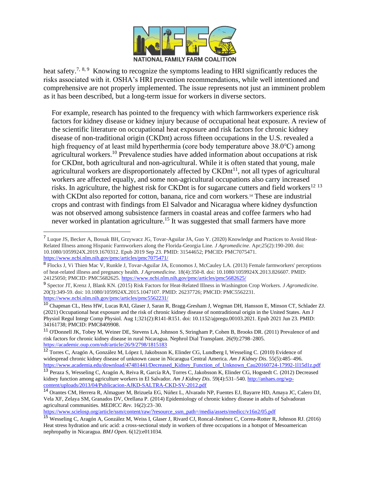

heat safety.<sup>7, 8, 9</sup> Knowing to recognize the symptoms leading to HRI significantly reduces the risks associated with it. OSHA's HRI prevention recommendations, while well intentioned and comprehensive are not properly implemented. The issue represents not just an imminent problem as it has been described, but a long-term issue for workers in diverse sectors.

For example, research has pointed to the frequency with which farmworkers experience risk factors for kidney disease or kidney injury because of occupational heat exposure. A review of the scientific literature on occupational heat exposure and risk factors for chronic kidney disease of non-traditional origin (CKDnt) across fifteen occupations in the U.S. revealed a high frequency of at least mild hyperthermia (core body temperature above 38.0 °C) among agricultural workers.<sup>10</sup> Prevalence studies have added information about occupations at risk for CKDnt, both agricultural and non-agricultural. While it is often stated that young, male agricultural workers are disproportionately affected by  $\text{CKDnt}^{11}$ , not all types of agricultural workers are affected equally, and some non-agricultural occupations also carry increased risks. In agriculture, the highest risk for CKDnt is for sugarcane cutters and field workers<sup>12 13</sup> with CKDnt also reported for cotton, banana, rice and corn workers.<sup>14</sup> These are industrial crops and contrast with findings from El Salvador and Nicaragua where kidney dysfunction was not observed among subsistence farmers in coastal areas and coffee farmers who had never worked in plantation agriculture.<sup>15</sup> It was suggested that small farmers have more

[https://www.scielosp.org/article/ssm/content/raw/?resource\\_ssm\\_path=/media/assets/medicc/v16n2/05.pdf](https://www.scielosp.org/article/ssm/content/raw/?resource_ssm_path=/media/assets/medicc/v16n2/05.pdf)

<sup>7</sup> Luque JS, Becker A, Bossak BH, Grzywacz JG, Tovar-Aguilar JA, Guo Y. (2020) Knowledge and Practices to Avoid Heat-Related Illness among Hispanic Farmworkers along the Florida-Georgia Line*. J Agromedicine*. Apr;25(2):190-200. doi: 10.1080/1059924X.2019.1670312. Epub 2019 Sep 23. PMID: 31544652; PMCID: PMC7075471. <https://www.ncbi.nlm.nih.gov/pmc/articles/pmc7075471/>

<sup>&</sup>lt;sup>8</sup> Flocks J, Vi Thien Mac V, Runkle J, Tovar-Aguilar JA, Economos J, McCauley LA. (2013) Female farmworkers' perceptions of heat-related illness and pregnancy health*. J Agromedicine*. 18(4):350-8. doi: 10.1080/1059924X.2013.826607. PMID: 24125050; PMCID: PMC5682625. <https://www.ncbi.nlm.nih.gov/pmc/articles/pmc5682625/>

<sup>9</sup> Spector JT, Krenz J, Blank KN. (2015) Risk Factors for Heat-Related Illness in Washington Crop Workers*. J Agromedicine*. 20(3):349-59. doi: 10.1080/1059924X.2015.1047107. PMID: 26237726; PMCID: PMC5562231. <https://www.ncbi.nlm.nih.gov/pmc/articles/pmc5562231/>

<sup>&</sup>lt;sup>10</sup> Chapman CL, Hess HW, Lucas RAI, Glaser J, Saran R, Bragg-Gresham J, Wegman DH, Hansson E, Minson CT, Schlader ZJ. (2021) Occupational heat exposure and the risk of chronic kidney disease of nontraditional origin in the United States. Am J Physiol Regul Integr Comp Physiol. Aug 1;321(2):R141-R151. doi: 10.1152/ajpregu.00103.2021. Epub 2021 Jun 23. PMID: 34161738; PMCID: PMC8409908.

<sup>11</sup> O'Donnell JK, Tobey M, Weiner DE, Stevens LA, Johnson S, Stringham P, Cohen B, Brooks DR. (2011) Prevalence of and risk factors for chronic kidney disease in rural Nicaragua. Nephrol Dial Transplant. 26(9):2798–2805. <https://academic.oup.com/ndt/article/26/9/2798/1815183>

<sup>&</sup>lt;sup>12</sup> Torres C, Aragón A, González M, López I, Jakobsson K, Elinder CG, Lundberg I, Wesseling C. (2010) Evidence of widespread chronic kidney disease of unknown cause in Nicaragua Central America. *Am J Kidney Dis*. 55(5):485–496. [https://www.academia.edu/download/47481441/Decreased\\_Kidney\\_Function\\_of\\_Unknown\\_Cau20160724-17992-1l15d1z.pdf](https://www.academia.edu/download/47481441/Decreased_Kidney_Function_of_Unknown_Cau20160724-17992-1l15d1z.pdf)

<sup>13</sup> Peraza S, Wesseling C, Aragón A, Reiva R, García RA, Torres C, Jakobsson K, Elinder CG, Hogstedt C. (2012) Decreased kidney function among agriculture workers in El Salvador. *Am J Kidney Dis*. 59(4):531–540. [http://anhaes.org/wp](http://anhaes.org/wp-content/uploads/2013/04/Publicacion-AJKD-SALTRA-CKD-SV-2012.pdf)[content/uploads/2013/04/Publicacion-AJKD-SALTRA-CKD-SV-2012.pdf](http://anhaes.org/wp-content/uploads/2013/04/Publicacion-AJKD-SALTRA-CKD-SV-2012.pdf)

<sup>14</sup> Orantes CM, Herrera R, Almaguer M, Brizuela EG, Núñez L, Alvarado NP, Fuentes EJ, Bayarre HD, Amaya JC, Calero DJ, Vela XF, Zelaya SM, Granados DV, Orellana P. (2014) Epidemiology of chronic kidney disease in adults of Salvadoran agricultural communities. *MEDICC Rev.* 16(2):23–30.

<sup>&</sup>lt;sup>15</sup> Wesseling C, Aragón A, González M, Weiss I, Glaser J, Rivard CJ, Roncal-Jiménez C, Correa-Rotter R, Johnson RJ. (2016) Heat stress hydration and uric acid: a cross-sectional study in workers of three occupations in a hotspot of Mesoamerican nephropathy in Nicaragua. *BMJ Open*. 6(12):e011034.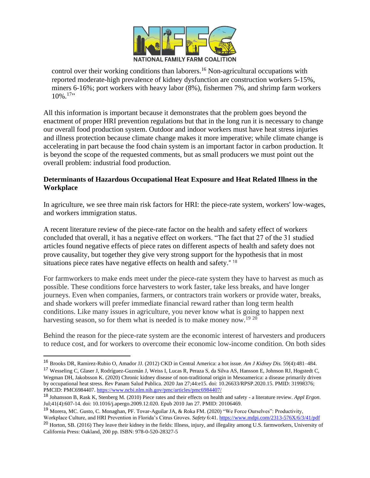

control over their working conditions than laborers.<sup>16</sup> Non-agricultural occupations with reported moderate-high prevalence of kidney dysfunction are construction workers 5-15%, miners 6-16%; port workers with heavy labor (8%), fishermen 7%, and shrimp farm workers  $10\%$ <sup>17</sup>"

All this information is important because it demonstrates that the problem goes beyond the enactment of proper HRI prevention regulations but that in the long run it is necessary to change our overall food production system. Outdoor and indoor workers must have heat stress injuries and illness protection because climate change makes it more imperative; while climate change is accelerating in part because the food chain system is an important factor in carbon production. It is beyond the scope of the requested comments, but as small producers we must point out the overall problem: industrial food production.

# **Determinants of Hazardous Occupational Heat Exposure and Heat Related Illness in the Workplace**

In agriculture, we see three main risk factors for HRI: the piece-rate system, workers' low-wages, and workers immigration status.

A recent literature review of the piece-rate factor on the health and safety effect of workers concluded that overall, it has a negative effect on workers. "The fact that 27 of the 31 studied articles found negative effects of piece rates on different aspects of health and safety does not prove causality, but together they give very strong support for the hypothesis that in most situations piece rates have negative effects on health and safety." <sup>18</sup>

For farmworkers to make ends meet under the piece-rate system they have to harvest as much as possible. These conditions force harvesters to work faster, take less breaks, and have longer journeys. Even when companies, farmers, or contractors train workers or provide water, breaks, and shade workers will prefer immediate financial reward rather than long term health conditions. Like many issues in agriculture, you never know what is going to happen next harvesting season, so for them what is needed is to make money now.<sup>19 20</sup>

Behind the reason for the piece-rate system are the economic interest of harvesters and producers to reduce cost, and for workers to overcome their economic low-income condition. On both sides

<sup>16</sup> Brooks DR, Ramirez-Rubio O, Amador JJ. (2012) CKD in Central America: a hot issue. *Am J Kidney Dis.* 59(4):481–484.

<sup>17</sup> Wesseling C, Glaser J, Rodríguez-Guzmán J, Weiss I, Lucas R, Peraza S, da Silva AS, Hansson E, Johnson RJ, Hogstedt C, Wegman DH, Jakobsson K. (2020) Chronic kidney disease of non-traditional origin in Mesoamerica: a disease primarily driven by occupational heat stress. Rev Panam Salud Publica. 2020 Jan 27;44:e15. doi: 10.26633/RPSP.2020.15. PMID: 31998376; PMCID: PMC6984407. <https://www.ncbi.nlm.nih.gov/pmc/articles/pmc6984407/>

<sup>18</sup> Johansson B, Rask K, Stenberg M. (2010) Piece rates and their effects on health and safety - a literature review. *Appl Ergon.* Jul;41(4):607-14. doi: 10.1016/j.apergo.2009.12.020. Epub 2010 Jan 27. PMID: 20106469.

<sup>19</sup> Morera, MC. Gusto, C. Monaghan, PF. Tovar-Aguilar JA, & Roka FM. (2020) "We Force Ourselves": Productivity, Workplace Culture, and HRI Prevention in Florida's Citrus Groves. *Safety* 6:41. <https://www.mdpi.com/2313-576X/6/3/41/pdf>

<sup>&</sup>lt;sup>20</sup> Horton, SB. (2016) They leave their kidney in the fields: Illness, injury, and illegality among U.S. farmworkers, University of California Press: Oakland, 200 pp. ISBN: 978-0-520-28327-5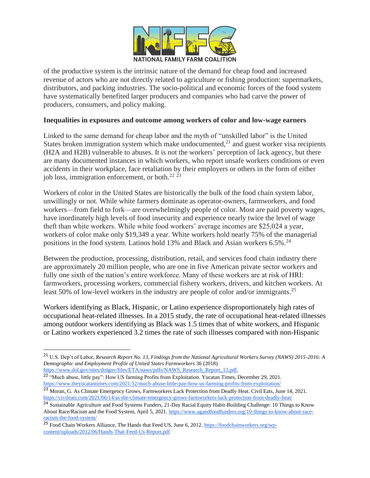

of the productive system is the intrinsic nature of the demand for cheap food and increased revenue of actors who are not directly related to agriculture or fishing production: supermarkets, distributors, and packing industries. The socio-political and economic forces of the food system have systematically benefited larger producers and companies who had carve the power of producers, consumers, and policy making.

### **Inequalities in exposures and outcome among workers of color and low-wage earners**

Linked to the same demand for cheap labor and the myth of "unskilled labor" is the United States broken immigration system which make undocumented,  $2<sup>1</sup>$  and guest worker visa recipients (H2A and H2B) vulnerable to abuses. It is not the workers' perception of lack agency, but there are many documented instances in which workers, who report unsafe workers conditions or even accidents in their workplace, face retaliation by their employers or others in the form of either job loss, immigration enforcement, or both. $^{22}$   $^{23}$ 

Workers of color in the United States are historically the bulk of the food chain system labor, unwillingly or not. While white farmers dominate as operator-owners, farmworkers, and food workers—from field to fork—are overwhelmingly people of color. Most are paid poverty wages, have inordinately high levels of food insecurity and experience nearly twice the level of wage theft than white workers. While white food workers' average incomes are \$25,024 a year, workers of color make only \$19,349 a year. White workers hold nearly 75% of the managerial positions in the food system. Latinos hold 13% and Black and Asian workers  $6.5\%$ <sup>24</sup>

Between the production, processing, distribution, retail, and services food chain industry there are approximately 20 million people, who are one in five American private sector workers and fully one sixth of the nation's entire workforce. Many of these workers are at risk of HRI: farmworkers, processing workers, commercial fishery workers, drivers, and kitchen workers. At least 50% of low-level workers in the industry are people of color and/or immigrants.<sup>25</sup>

Workers identifying as Black, Hispanic, or Latino experience disproportionately high rates of occupational heat-related illnesses. In a 2015 study, the rate of occupational heat-related illnesses among outdoor workers identifying as Black was 1.5 times that of white workers, and Hispanic or Latino workers experienced 3.2 times the rate of such illnesses compared with non-Hispanic

<sup>21</sup> U.S. Dep't of Labor, *Research Report No. 13, Findings from the National Agricultural Workers Survey (NAWS) 2015-2016: A Demographic and Employment Profile of United States Farmworkers* 36 (2018[\)](https://www.dol.gov/sites/dolgov/files/ETA/naws/pdfs/NAWS_Research_Report_13.pdf) [https://www.dol.gov/sites/dolgov/files/ETA/naws/pdfs/NAWS\\_Research\\_Report\\_13.pdf.](https://www.dol.gov/sites/dolgov/files/ETA/naws/pdfs/NAWS_Research_Report_13.pdf)

<sup>&</sup>lt;sup>22</sup> "Much abuse, little pay": How US farming Profits from Exploitation. Yucatan Times, December 29, 2021. <https://www.theyucatantimes.com/2021/12/much-abuse-little-pay-how-us-farming-profits-from-exploitation/>

<sup>&</sup>lt;sup>23</sup> Moran, G. As Climate Emergency Grows, Farmworkers Lack Protection from Deadly Heat. Civil Eats, June 14, 2021. <https://civileats.com/2021/06/14/as-the-climate-emergency-grows-farmworkers-lack-protection-from-deadly-heat/>

<sup>24</sup> Sustainable Agriculture and Food Systems Funders, 21-Day Racial Equity Habit-Building Challenge: 10 Things to Know About Race/Racism and the Food System, April 5, 2021[. https://www.agandfoodfunders.org/10-things-to-know-about-race](https://www.agandfoodfunders.org/10-things-to-know-about-race-racism-the-food-system/)[racism-the-food-system/](https://www.agandfoodfunders.org/10-things-to-know-about-race-racism-the-food-system/)

<sup>&</sup>lt;sup>25</sup> Food Chain Workers Alliance, The Hands that Feed US, June 6, 2012. [https://foodchainworkers.org/wp](https://foodchainworkers.org/wp-content/uploads/2012/06/Hands-That-Feed-Us-Report.pdf)[content/uploads/2012/06/Hands-That-Feed-Us-Report.pdf](https://foodchainworkers.org/wp-content/uploads/2012/06/Hands-That-Feed-Us-Report.pdf)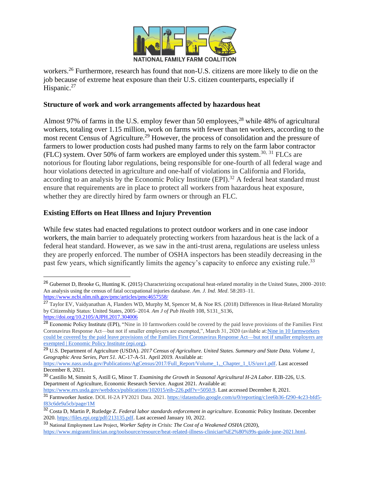

workers.<sup>26</sup> Furthermore, research has found that non-U.S. citizens are more likely to die on the job because of extreme heat exposure than their U.S. citizen counterparts, especially if Hispanic.<sup>27</sup>

### **Structure of work and work arrangements affected by hazardous heat**

Almost 97% of farms in the U.S. employ fewer than 50 employees,  $^{28}$  while 48% of agricultural workers, totaling over 1.15 million, work on farms with fewer than ten workers, according to the most recent Census of Agriculture.<sup>29</sup> However, the process of consolidation and the pressure of farmers to lower production costs had pushed many farms to rely on the farm labor contractor (FLC) system. Over 50% of farm workers are employed under this system.<sup>30, 31</sup> FLCs are notorious for flouting labor regulations, being responsible for one-fourth of all federal wage and hour violations detected in agriculture and one-half of violations in California and Florida, according to an analysis by the Economic Policy Institute  $(EPI)$ .<sup>32</sup> A federal heat standard must ensure that requirements are in place to protect all workers from hazardous heat exposure, whether they are directly hired by farm owners or through an FLC.

# **Existing Efforts on Heat Illness and Injury Prevention**

While few states had enacted regulations to protect outdoor workers and in one case indoor workers, the main barrier to adequately protecting workers from hazardous heat is the lack of a federal heat standard. However, as we saw in the anti-trust arena, regulations are useless unless they are properly enforced. The number of OSHA inspectors has been steadily decreasing in the past few years, which significantly limits the agency's capacity to enforce any existing rule.<sup>33</sup>

[https://www.ers.usda.gov/webdocs/publications/102015/eib-226.pdf?v=5050.9.](https://www.ers.usda.gov/webdocs/publications/102015/eib-226.pdf?v=5050.9) Last accessed December 8, 2021.

<sup>&</sup>lt;sup>26</sup> Gubernot D, Brooke G, Hunting K. (2015) Characterizing occupational heat-related mortality in the United States, 2000–2010: An analysis using the census of fatal occupational injuries database. *Am. J. Ind. Med*. 58:203–11. <https://www.ncbi.nlm.nih.gov/pmc/articles/pmc4657558/>

<sup>&</sup>lt;sup>27</sup> Taylor EV, Vaidyanathan A, Flanders WD, Murphy M, Spencer M, & Noe RS. (2018) Differences in Heat-Related Mortality by Citizenship [Status: United States, 2005–2014.](https://ajph.aphapublications.org/doi/abs/10.2105/AJPH.2017.304006) *Am J of Pub Health* 108, S131\_S136, <https://doi.org/10.2105/AJPH.2017.304006>

<sup>&</sup>lt;sup>28</sup> Economic Policy Institute (EPI), "Nine in 10 farmworkers could be covered by the paid leave provisions of the Families First Coronavirus Response Act—but not if smaller employers are exempted,", March 31, 2020 (avilable at:Nine in 10 farmworkers could be covered by the paid leave provisions of the Families First Coronavirus Response Act—but not if smaller employers are [exempted | Economic Policy Institute \(epi.org\).](https://www.epi.org/blog/9-in-10-farmworkers-could-be-covered-by-the-paid-leave-provisions-of-the-families-first-coronavirus-response-act-but-not-if-smaller-employers-are-exempted/)

<sup>29</sup> U.S. Department of Agriculture (USDA). *2017 Census of Agriculture. United States. Summary and State Data. Volume 1, Geographic Area Series, Part 51.* AC-17-A-51. April 2019. Available at:

[https://www.nass.usda.gov/Publications/AgCensus/2017/Full\\_Report/Volume\\_1,\\_Chapter\\_1\\_US/usv1.pdf.](https://www.nass.usda.gov/Publications/AgCensus/2017/Full_Report/Volume_1,_Chapter_1_US/usv1.pdf) Last accessed December 8, 2021.

<sup>30</sup> Castillo M, Simnitt S, Astill G, Minor T. *Examining the Growth in Seasonal Agricultural H-2A Labor*. EIB-226, U.S. Department of Agriculture, Economic Research Service. August 2021. Available at:

<sup>31</sup> Farmworker Justice. DOL H-2A FY2021 Data. 2021. [https://datastudio.google.com/u/0/reporting/c1ee6b36-f290-4c23-bfd5](https://datastudio.google.com/u/0/reporting/c1ee6b36-f290-4c23-bfd5-f83c6de9a5cb/page/1M) [f83c6de9a5cb/page/1M](https://datastudio.google.com/u/0/reporting/c1ee6b36-f290-4c23-bfd5-f83c6de9a5cb/page/1M)

<sup>32</sup> Costa D, Martin P, Rutledge Z. *Federal labor standards enforcement in agriculture*. Economic Policy Institute. December 2020[. https://files.epi.org/pdf/213135.pdf.](https://files.epi.org/pdf/213135.pdf) Last accessed January 10, 2022.

<sup>33</sup> National Employment Law Project, *Worker Safety in Crisis: The Cost of a Weakened OSHA* (2020), [https://www.migrantclinician.org/toolsource/resource/heat-related-illness-clinician%E2%80%99s-guide-june-2021.html.](https://www.migrantclinician.org/toolsource/resource/heat-related-illness-clinician%E2%80%99s-guide-june-2021.html)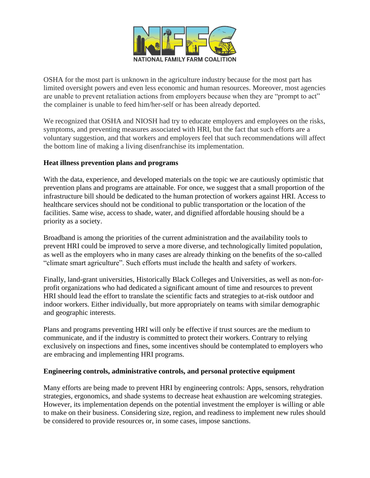

OSHA for the most part is unknown in the agriculture industry because for the most part has limited oversight powers and even less economic and human resources. Moreover, most agencies are unable to prevent retaliation actions from employers because when they are "prompt to act" the complainer is unable to feed him/her-self or has been already deported.

We recognized that OSHA and NIOSH had try to educate employers and employees on the risks, symptoms, and preventing measures associated with HRI, but the fact that such efforts are a voluntary suggestion, and that workers and employers feel that such recommendations will affect the bottom line of making a living disenfranchise its implementation.

# **Heat illness prevention plans and programs**

With the data, experience, and developed materials on the topic we are cautiously optimistic that prevention plans and programs are attainable. For once, we suggest that a small proportion of the infrastructure bill should be dedicated to the human protection of workers against HRI. Access to healthcare services should not be conditional to public transportation or the location of the facilities. Same wise, access to shade, water, and dignified affordable housing should be a priority as a society.

Broadband is among the priorities of the current administration and the availability tools to prevent HRI could be improved to serve a more diverse, and technologically limited population, as well as the employers who in many cases are already thinking on the benefits of the so-called "climate smart agriculture". Such efforts must include the health and safety of workers.

Finally, land-grant universities, Historically Black Colleges and Universities, as well as non-forprofit organizations who had dedicated a significant amount of time and resources to prevent HRI should lead the effort to translate the scientific facts and strategies to at-risk outdoor and indoor workers. Either individually, but more appropriately on teams with similar demographic and geographic interests.

Plans and programs preventing HRI will only be effective if trust sources are the medium to communicate, and if the industry is committed to protect their workers. Contrary to relying exclusively on inspections and fines, some incentives should be contemplated to employers who are embracing and implementing HRI programs.

#### **Engineering controls, administrative controls, and personal protective equipment**

Many efforts are being made to prevent HRI by engineering controls: Apps, sensors, rehydration strategies, ergonomics, and shade systems to decrease heat exhaustion are welcoming strategies. However, its implementation depends on the potential investment the employer is willing or able to make on their business. Considering size, region, and readiness to implement new rules should be considered to provide resources or, in some cases, impose sanctions.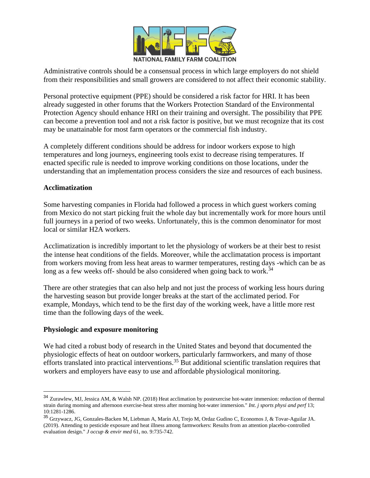

Administrative controls should be a consensual process in which large employers do not shield from their responsibilities and small growers are considered to not affect their economic stability.

Personal protective equipment (PPE) should be considered a risk factor for HRI. It has been already suggested in other forums that the Workers Protection Standard of the Environmental Protection Agency should enhance HRI on their training and oversight. The possibility that PPE can become a prevention tool and not a risk factor is positive, but we must recognize that its cost may be unattainable for most farm operators or the commercial fish industry.

A completely different conditions should be address for indoor workers expose to high temperatures and long journeys, engineering tools exist to decrease rising temperatures. If enacted specific rule is needed to improve working conditions on those locations, under the understanding that an implementation process considers the size and resources of each business.

## **Acclimatization**

Some harvesting companies in Florida had followed a process in which guest workers coming from Mexico do not start picking fruit the whole day but incrementally work for more hours until full journeys in a period of two weeks. Unfortunately, this is the common denominator for most local or similar H2A workers.

Acclimatization is incredibly important to let the physiology of workers be at their best to resist the intense heat conditions of the fields. Moreover, while the acclimatation process is important from workers moving from less heat areas to warmer temperatures, resting days -which can be as long as a few weeks off- should be also considered when going back to work.<sup>34</sup>

There are other strategies that can also help and not just the process of working less hours during the harvesting season but provide longer breaks at the start of the acclimated period. For example, Mondays, which tend to be the first day of the working week, have a little more rest time than the following days of the week.

#### **Physiologic and exposure monitoring**

We had cited a robust body of research in the United States and beyond that documented the physiologic effects of heat on outdoor workers, particularly farmworkers, and many of those efforts translated into practical interventions.<sup>35</sup> But additional scientific translation requires that workers and employers have easy to use and affordable physiological monitoring.

<sup>34</sup> Zurawlew, MJ, Jessica AM, & Walsh NP. (2018) Heat acclimation by postexercise hot-water immersion: reduction of thermal strain during morning and afternoon exercise-heat stress after morning hot-water immersion." *Int. j sports physi and perf* 13; 10:1281-1286.

<sup>35</sup> Grzywacz, JG, Gonzales-Backen M, Liebman A, Marín AJ, Trejo M, Ordaz Gudino C, Economos J, & Tovar-Aguilar JA. (2019). Attending to pesticide exposure and heat illness among farmworkers: Results from an attention placebo-controlled evaluation design." *J occup & envir med* 61, no. 9:735-742.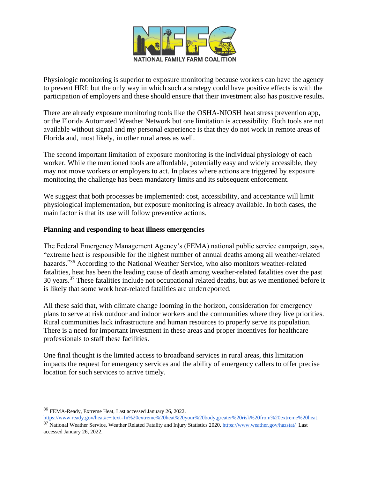

Physiologic monitoring is superior to exposure monitoring because workers can have the agency to prevent HRI; but the only way in which such a strategy could have positive effects is with the participation of employers and these should ensure that their investment also has positive results.

There are already exposure monitoring tools like the OSHA-NIOSH heat stress prevention app, or the Florida Automated Weather Network but one limitation is accessibility. Both tools are not available without signal and my personal experience is that they do not work in remote areas of Florida and, most likely, in other rural areas as well.

The second important limitation of exposure monitoring is the individual physiology of each worker. While the mentioned tools are affordable, potentially easy and widely accessible, they may not move workers or employers to act. In places where actions are triggered by exposure monitoring the challenge has been mandatory limits and its subsequent enforcement.

We suggest that both processes be implemented: cost, accessibility, and acceptance will limit physiological implementation, but exposure monitoring is already available. In both cases, the main factor is that its use will follow preventive actions.

## **Planning and responding to heat illness emergencies**

The Federal Emergency Management Agency's (FEMA) national public service campaign, says, "extreme heat is responsible for the highest number of annual deaths among all weather-related hazards."<sup>36</sup> According to the National Weather Service, who also monitors weather-related fatalities, heat has been the leading cause of death among weather-related fatalities over the past 30 years.<sup>37</sup> These fatalities include not occupational related deaths, but as we mentioned before it is likely that some work heat-related fatalities are underreported.

All these said that, with climate change looming in the horizon, consideration for emergency plans to serve at risk outdoor and indoor workers and the communities where they live priorities. Rural communities lack infrastructure and human resources to properly serve its population. There is a need for important investment in these areas and proper incentives for healthcare professionals to staff these facilities.

One final thought is the limited access to broadband services in rural areas, this limitation impacts the request for emergency services and the ability of emergency callers to offer precise location for such services to arrive timely.

[https://www.ready.gov/heat#:~:text=In%20extreme%20heat%20your%20body,greater%20risk%20from%20extreme%20heat.](https://www.ready.gov/heat#:~:text=In%20extreme%20heat%20your%20body,greater%20risk%20from%20extreme%20heat)

<sup>36</sup> FEMA-Ready, Extreme Heat, Last accessed January 26, 2022.

<sup>&</sup>lt;sup>37</sup> National Weather Service, Weather Related Fatality and Injury Statistics 2020. <https://www.weather.gov/hazstat/> Last accessed January 26, 2022.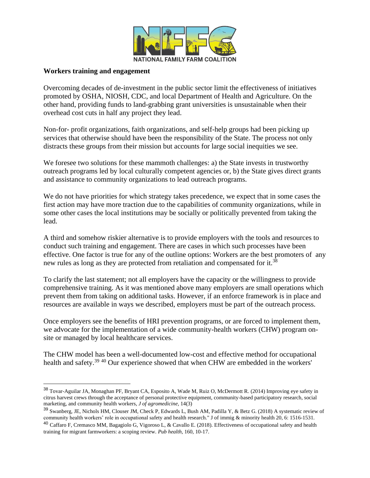

### **Workers training and engagement**

Overcoming decades of de-investment in the public sector limit the effectiveness of initiatives promoted by OSHA, NIOSH, CDC, and local Department of Health and Agriculture. On the other hand, providing funds to land-grabbing grant universities is unsustainable when their overhead cost cuts in half any project they lead.

Non-for- profit organizations, faith organizations, and self-help groups had been picking up services that otherwise should have been the responsibility of the State. The process not only distracts these groups from their mission but accounts for large social inequities we see.

We foresee two solutions for these mammoth challenges: a) the State invests in trustworthy outreach programs led by local culturally competent agencies or, b) the State gives direct grants and assistance to community organizations to lead outreach programs.

We do not have priorities for which strategy takes precedence, we expect that in some cases the first action may have more traction due to the capabilities of community organizations, while in some other cases the local institutions may be socially or politically prevented from taking the lead.

A third and somehow riskier alternative is to provide employers with the tools and resources to conduct such training and engagement. There are cases in which such processes have been effective. One factor is true for any of the outline options: Workers are the best promoters of any new rules as long as they are protected from retaliation and compensated for it.<sup>38</sup>

To clarify the last statement; not all employers have the capacity or the willingness to provide comprehensive training. As it was mentioned above many employers are small operations which prevent them from taking on additional tasks. However, if an enforce framework is in place and resources are available in ways we described, employers must be part of the outreach process.

Once employers see the benefits of HRI prevention programs, or are forced to implement them, we advocate for the implementation of a wide community-health workers (CHW) program onsite or managed by local healthcare services.

The CHW model has been a well-documented low-cost and effective method for occupational health and safety.<sup>39 40</sup> Our experience showed that when CHW are embedded in the workers'

<sup>38</sup> Tovar-Aguilar JA, Monaghan PF, Bryant CA, Esposito A, Wade M, Ruiz O, McDermott R. (2014) [Improving eye safety in](https://scholar.google.com/scholar?oi=bibs&cluster=5409435595528889482&btnI=1&hl=en)  [citrus harvest crews through the acceptance of personal protective equipment, community-based participatory research, social](https://scholar.google.com/scholar?oi=bibs&cluster=5409435595528889482&btnI=1&hl=en)  [marketing, and community health workers,](https://scholar.google.com/scholar?oi=bibs&cluster=5409435595528889482&btnI=1&hl=en) *J of agromedicine,* 14(3)

<sup>39</sup> Swanberg, JE, Nichols HM, Clouser JM, Check P, Edwards L, Bush AM, Padilla Y, & Betz G. (2018) A systematic review of community health workers' role in occupational safety and health research." J of immig & minority health 20, 6: 1516-1531. <sup>40</sup> Caffaro F, Cremasco MM, Bagagiolo G, Vigoroso L, & Cavallo E. (2018). Effectiveness of occupational safety and health training for migrant farmworkers: a scoping review. *Pub health*, 160, 10-17.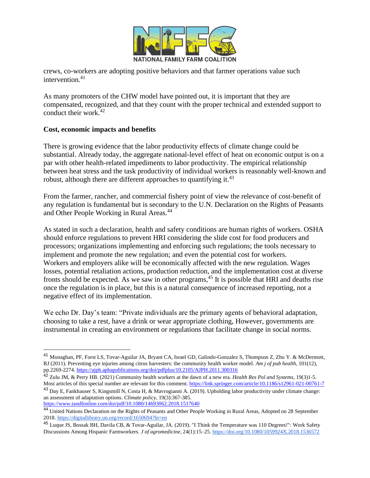

crews, co-workers are adopting positive behaviors and that farmer operations value such intervention.<sup>41</sup>

As many promoters of the CHW model have pointed out, it is important that they are compensated, recognized, and that they count with the proper technical and extended support to conduct their work.<sup>42</sup>

# **Cost, economic impacts and benefits**

There is growing evidence that the labor productivity effects of climate change could be substantial. Already today, the aggregate national-level effect of heat on economic output is on a par with other health-related impediments to labor productivity. The empirical relationship between heat stress and the task productivity of individual workers is reasonably well-known and robust, although there are different approaches to quantifying it.<sup>43</sup>

From the farmer, rancher, and commercial fishery point of view the relevance of cost-benefit of any regulation is fundamental but is secondary to the U.N. Declaration on the Rights of Peasants and Other People Working in Rural Areas.<sup>44</sup>

As stated in such a declaration, health and safety conditions are human rights of workers. OSHA should enforce regulations to prevent HRI considering the slide cost for food producers and processors; organizations implementing and enforcing such regulations; the tools necessary to implement and promote the new regulation; and even the potential cost for workers. Workers and employers alike will be economically affected with the new regulation. Wages losses, potential retaliation actions, production reduction, and the implementation cost at diverse fronts should be expected. As we saw in other programs,  $45$  It is possible that HRI and deaths rise once the regulation is in place, but this is a natural consequence of increased reporting, not a negative effect of its implementation.

We echo Dr. Day's team: "Private individuals are the primary agents of behavioral adaptation, choosing to take a rest, have a drink or wear appropriate clothing, However, governments are instrumental in creating an environment or regulations that facilitate change in social norms.

<sup>43</sup> Day E, Fankhauser S, Kingsmill N, Costa H, & Mavrogianni A. (2019). Upholding labor productivity under climate change: an assessment of adaptation options. *Climate policy*, 19(3):367-385. <https://www.tandfonline.com/doi/pdf/10.1080/14693062.2018.1517640>

<sup>41</sup> Monaghan, PF, Forst LS, Tovar-Aguilar JA, Bryant CA, Israel GD, Galindo-Gonzalez S, Thompson Z, Zhu Y. & McDermott, RJ (2011). Preventing eye injuries among citrus harvesters: the community health worker model. *Am j of pub health,* 101(12), pp.2269-2274. <https://ajph.aphapublications.org/doi/pdfplus/10.2105/AJPH.2011.300316>

<sup>42</sup> Zulu JM, & Perry HB. (2021) Community health workers at the dawn of a new era. *Health Res Pol and Systems,* 19(3)1-5. Most articles of this special number are relevant for this comment. <https://link.springer.com/article/10.1186/s12961-021-00761-7>

<sup>&</sup>lt;sup>44</sup> United Nations Declaration on the Rights of Peasants and Other People Working in Rural Areas, Adopted on 28 September 2018. <https://digitallibrary.un.org/record/1650694?ln=en>

<sup>45</sup> Luque JS, Bossak BH, Davila CB, & Tovar-Aguilar, JA. (2019). "I Think the Temperature was 110 Degrees!": Work Safety Discussions Among Hispanic Farmworkers. *J of agromedicine*, 24(1):15–25[. https://doi.org/10.1080/1059924X.2018.1536572](https://doi.org/10.1080/1059924X.2018.1536572)